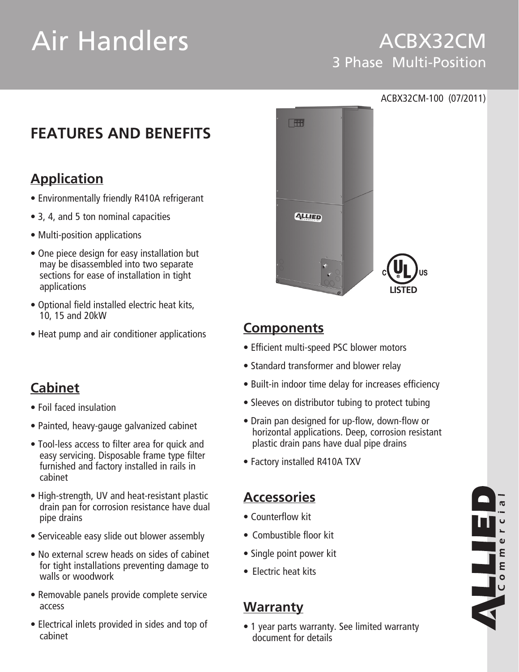# Air Handlers

# ACBX32CM 3 Phase Multi-Position

# **FEATURES AND BENEFITS**

## **Application**

- Environmentally friendly R410A refrigerant
- 3, 4, and 5 ton nominal capacities
- Multi-position applications
- One piece design for easy installation but may be disassembled into two separate sections for ease of installation in tight applications
- • Optional field installed electric heat kits, 10, 15 and 20kW
- Heat pump and air conditioner applications

# **Cabinet**

- • Foil faced insulation
- Painted, heavy-gauge galvanized cabinet
- Tool-less access to filter area for quick and easy servicing. Disposable frame type filter furnished and factory installed in rails in cabinet
- High-strength, UV and heat-resistant plastic drain pan for corrosion resistance have dual pipe drains
- Serviceable easy slide out blower assembly
- No external screw heads on sides of cabinet for tight installations preventing damage to walls or woodwork
- Removable panels provide complete service access
- Electrical inlets provided in sides and top of cabinet



## **Components**

- Efficient multi-speed PSC blower motors
- Standard transformer and blower relay
- Built-in indoor time delay for increases efficiency
- Sleeves on distributor tubing to protect tubing
- Drain pan designed for up-flow, down-flow or horizontal applications. Deep, corrosion resistant plastic drain pans have dual pipe drains
- Factory installed R410A TXV

# **Accessories**

- • Counterflow kit
- Combustible floor kit
- Single point power kit
- $\bullet$  Flectric heat kits

## **Warranty**

• 1 year parts warranty. See limited warranty document for details

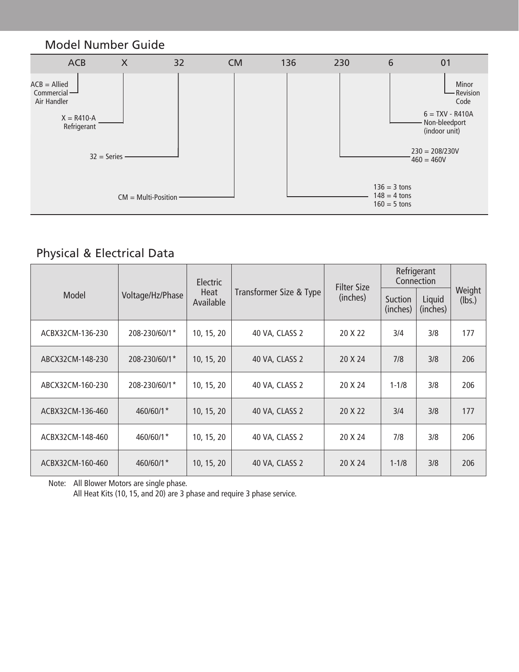

## Physical & Electrical Data

|                  |                  | <b>Electric</b>   |                         | <b>Filter Size</b> | Refrigerant<br>Connection |                    |                  |
|------------------|------------------|-------------------|-------------------------|--------------------|---------------------------|--------------------|------------------|
| Model            | Voltage/Hz/Phase | Heat<br>Available | Transformer Size & Type | (inches)           | Suction<br>(inches)       | Liquid<br>(inches) | Weight<br>(lbs.) |
| ACBX32CM-136-230 | 208-230/60/1*    | 10, 15, 20        | 40 VA, CLASS 2          | 20 X 22            | 3/4                       | 3/8                | 177              |
| ABCX32CM-148-230 | 208-230/60/1*    | 10, 15, 20        | 40 VA, CLASS 2          | 20 X 24            | 7/8                       | 3/8                | 206              |
| ABCX32CM-160-230 | 208-230/60/1*    | 10, 15, 20        | 40 VA, CLASS 2          | 20 X 24            | $1 - 1/8$                 | 3/8                | 206              |
| ACBX32CM-136-460 | 460/60/1*        | 10, 15, 20        | 40 VA, CLASS 2          | 20 X 22            | 3/4                       | 3/8                | 177              |
| ACBX32CM-148-460 | 460/60/1*        | 10, 15, 20        | 40 VA, CLASS 2          | 20 X 24            | 7/8                       | 3/8                | 206              |
| ACBX32CM-160-460 | 460/60/1*        | 10, 15, 20        | 40 VA, CLASS 2          | 20 X 24            | $1 - 1/8$                 | 3/8                | 206              |

Note: All Blower Motors are single phase.

 All Heat Kits (10, 15, and 20) are 3 phase and require 3 phase service.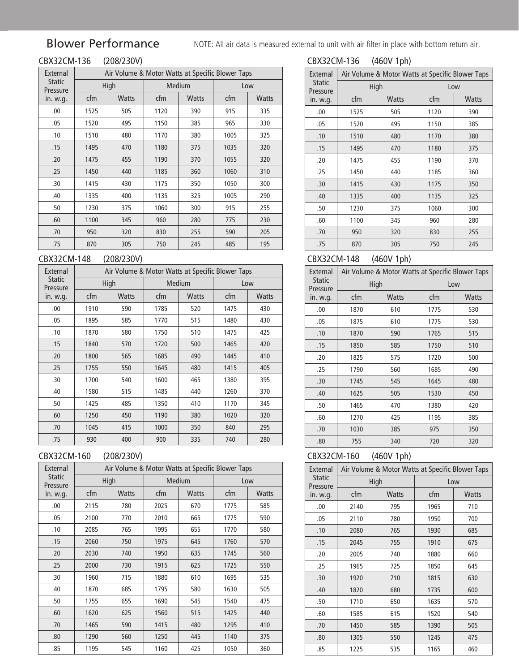## Blower Performance

NOTE: All air data is measured external to unit with air filter in place with bottom return air.

# CBX32CM-136 (208/230V)

| 32CM-136 | (208/230V) |
|----------|------------|
|          |            |

| External                  | Air Volume & Motor Watts at Specific Blower Taps |              |      |              |      |              |  |  |
|---------------------------|--------------------------------------------------|--------------|------|--------------|------|--------------|--|--|
| <b>Static</b><br>Pressure |                                                  | High         |      | Medium       | Low  |              |  |  |
| in. w.g.                  | cfm                                              | <b>Watts</b> | cfm  | <b>Watts</b> | cfm  | <b>Watts</b> |  |  |
| .00.                      | 1525                                             | 505          | 1120 | 390          | 915  | 335          |  |  |
| .05                       | 1520                                             | 495          | 1150 | 385          | 965  | 330          |  |  |
| .10                       | 1510                                             | 480          | 1170 | 380          | 1005 | 325          |  |  |
| .15                       | 1495                                             | 470          | 1180 | 375          | 1035 | 320          |  |  |
| .20                       | 1475                                             | 455          | 1190 | 370          | 1055 | 320          |  |  |
| .25                       | 1450                                             | 440          | 1185 | 360          | 1060 | 310          |  |  |
| .30                       | 1415                                             | 430          | 1175 | 350          | 1050 | 300          |  |  |
| .40                       | 1335                                             | 400          | 1135 | 325          | 1005 | 290          |  |  |
| .50                       | 1230                                             | 375          | 1060 | 300          | 915  | 255          |  |  |
| .60                       | 1100                                             | 345          | 960  | 280          | 775  | 230          |  |  |
| .70                       | 950                                              | 320          | 830  | 255          | 590  | 205          |  |  |
| .75                       | 870                                              | 305          | 750  | 245          | 485  | 195          |  |  |

#### CBX32CM-148 (208/230V)

| External                  | Air Volume & Motor Watts at Specific Blower Taps |              |      |              |      |              |  |  |
|---------------------------|--------------------------------------------------|--------------|------|--------------|------|--------------|--|--|
| <b>Static</b><br>Pressure |                                                  | High         |      | Medium       | Low  |              |  |  |
| in. w.g.                  | cfm                                              | <b>Watts</b> | cfm  | <b>Watts</b> | cfm  | <b>Watts</b> |  |  |
| .00                       | 1910                                             | 590          | 1785 | 520          | 1475 | 430          |  |  |
| .05                       | 1895                                             | 585          | 1770 | 515          | 1480 | 430          |  |  |
| .10                       | 1870                                             | 580          | 1750 | 510          | 1475 | 425          |  |  |
| .15                       | 1840                                             | 570          | 1720 | 500          | 1465 | 420          |  |  |
| .20                       | 1800                                             | 565          | 1685 | 490          | 1445 | 410          |  |  |
| .25                       | 1755                                             | 550          | 1645 | 480          | 1415 | 405          |  |  |
| .30                       | 1700                                             | 540          | 1600 | 465          | 1380 | 395          |  |  |
| .40                       | 1580                                             | 515          | 1485 | 440          | 1260 | 370          |  |  |
| .50                       | 1425                                             | 485          | 1350 | 410          | 1170 | 345          |  |  |
| .60                       | 1250                                             | 450          | 1190 | 380          | 1020 | 320          |  |  |
| .70                       | 1045                                             | 415          | 1000 | 350          | 840  | 295          |  |  |
| .75                       | 930                                              | 400          | 900  | 335          | 740  | 280          |  |  |

#### CBX32CM-160 (208/230V)

| ואו<br>731 | - |
|------------|---|
|            |   |

| External                  | Air Volume & Motor Watts at Specific Blower Taps |              |      |               |      |              |  |  |
|---------------------------|--------------------------------------------------|--------------|------|---------------|------|--------------|--|--|
| <b>Static</b><br>Pressure |                                                  | High         |      | <b>Medium</b> | Low  |              |  |  |
| in. w.g.                  | cfm                                              | <b>Watts</b> | cfm  | <b>Watts</b>  | cfm  | <b>Watts</b> |  |  |
| .00.                      | 2115                                             | 780          | 2025 | 670           | 1775 | 585          |  |  |
| .05                       | 2100                                             | 770          | 2010 | 665           | 1775 | 590          |  |  |
| .10                       | 2085                                             | 765          | 1995 | 655           | 1770 | 580          |  |  |
| .15                       | 2060                                             | 750          | 1975 | 645           |      | 570          |  |  |
| .20                       | 2030                                             | 740          | 1950 | 635           | 1745 | 560          |  |  |
| .25                       | 2000                                             | 730          | 1915 | 625           | 1725 | 550          |  |  |
| .30                       | 1960                                             | 715          | 1880 | 610           | 1695 | 535          |  |  |
| .40                       | 1870                                             | 685          | 1795 | 580           | 1630 | 505          |  |  |
| .50                       | 1755                                             | 655          | 1690 | 545           | 1540 | 475          |  |  |
| .60                       | 1620                                             | 625          | 1560 | 515           | 1425 | 440          |  |  |
| .70                       | 1465                                             | 590          | 1415 | 480           | 1295 | 410          |  |  |
| .80                       | 1290                                             | 560          | 1250 | 445           | 1140 | 375          |  |  |
| .85                       | 1195                                             | 545          | 1160 | 425           | 1050 | 360          |  |  |

#### CBX32CM-136 (460V 1ph)

| External                  | Air Volume & Motor Watts at Specific Blower Taps |              |      |              |  |  |  |
|---------------------------|--------------------------------------------------|--------------|------|--------------|--|--|--|
| <b>Static</b><br>Pressure |                                                  | High         | Low  |              |  |  |  |
| in. w.g.                  | cfm                                              | <b>Watts</b> | cfm  | <b>Watts</b> |  |  |  |
| .00                       | 1525                                             | 505          | 1120 | 390          |  |  |  |
| .05                       | 1520                                             | 495          | 1150 | 385          |  |  |  |
| .10                       | 1510                                             | 480          | 1170 | 380          |  |  |  |
| .15                       | 1495                                             | 470          | 1180 | 375          |  |  |  |
| .20                       | 1475                                             | 455          | 1190 | 370          |  |  |  |
| .25                       | 1450                                             | 440          | 1185 | 360          |  |  |  |
| .30                       | 1415                                             | 430          | 1175 | 350          |  |  |  |
| .40                       | 1335                                             | 400          | 1135 | 325          |  |  |  |
| .50                       | 1230                                             | 375          | 1060 | 300          |  |  |  |
| .60                       | 1100                                             | 345          | 960  | 280          |  |  |  |
| .70                       | 950                                              | 320          | 830  | 255          |  |  |  |
| .75                       | 870                                              | 305          | 750  | 245          |  |  |  |

#### CBX32CM-148 (460V 1ph)

| External                  | Air Volume & Motor Watts at Specific Blower Taps |              |      |              |  |  |  |
|---------------------------|--------------------------------------------------|--------------|------|--------------|--|--|--|
| <b>Static</b><br>Pressure | High                                             |              | Low  |              |  |  |  |
| in. w.g.                  | cfm                                              | <b>Watts</b> | cfm  | <b>Watts</b> |  |  |  |
| .00                       | 1870                                             | 610          | 1775 | 530          |  |  |  |
| .05                       | 1875                                             | 610          | 1775 | 530          |  |  |  |
| .10                       | 1870                                             | 590          | 1765 | 515          |  |  |  |
| .15                       | 1850                                             | 585          | 1750 | 510          |  |  |  |
| .20                       | 1825                                             | 575          | 1720 | 500          |  |  |  |
| .25                       | 1790                                             | 560          | 1685 | 490          |  |  |  |
| .30                       | 1745                                             | 545          | 1645 | 480          |  |  |  |
| .40                       | 1625                                             | 505          | 1530 | 450          |  |  |  |
| .50                       | 1465                                             | 470          | 1380 | 420          |  |  |  |
| .60                       | 1270                                             | 425          | 1195 | 385          |  |  |  |
| .70                       | 1030                                             | 385          | 975  | 350          |  |  |  |
| .80                       | 755                                              | 340          | 720  | 320          |  |  |  |

#### CBX32CM-160 (460V 1ph)

| External                  | Air Volume & Motor Watts at Specific Blower Taps |              |      |              |  |  |  |  |
|---------------------------|--------------------------------------------------|--------------|------|--------------|--|--|--|--|
| <b>Static</b><br>Pressure |                                                  | High         | Low  |              |  |  |  |  |
| in. w.g.                  | cfm                                              | <b>Watts</b> | cfm  | <b>Watts</b> |  |  |  |  |
| .00                       | 2140                                             | 795          | 1965 | 710          |  |  |  |  |
| .05                       | 2110                                             | 780          | 1950 | 700          |  |  |  |  |
| .10                       | 2080                                             | 765          | 1930 | 685          |  |  |  |  |
| .15                       | 2045                                             | 755          | 1910 | 675          |  |  |  |  |
| .20                       | 2005                                             | 740          | 1880 | 660          |  |  |  |  |
| .25                       | 1965                                             | 725          | 1850 | 645          |  |  |  |  |
| .30                       | 1920                                             | 710          | 1815 | 630          |  |  |  |  |
| .40                       | 1820                                             | 680          | 1735 | 600          |  |  |  |  |
| .50                       | 1710                                             | 650          | 1635 | 570          |  |  |  |  |
| .60                       | 1585                                             | 615          | 1520 | 540          |  |  |  |  |
| .70                       | 1450                                             | 585          | 1390 | 505          |  |  |  |  |
| .80                       | 1305                                             | 550          | 1245 | 475          |  |  |  |  |
| .85                       | 1225                                             | 535          | 1165 | 460          |  |  |  |  |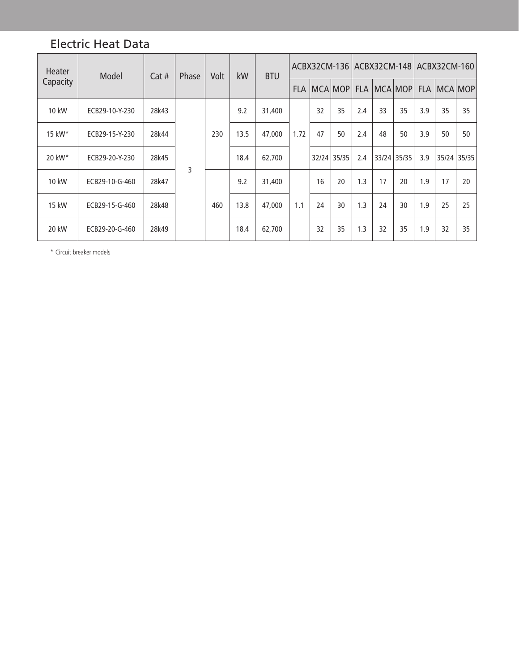### Electric Heat Data

| Heater               | Model          | Cat#  | Volt<br>Phase |     | kW   | <b>BTU</b> |            |    |                |             |     |         |       | ACBX32CM-136   ACBX32CM-148   ACBX32CM-160 |    |
|----------------------|----------------|-------|---------------|-----|------|------------|------------|----|----------------|-------------|-----|---------|-------|--------------------------------------------|----|
| Capacity             |                |       |               |     |      |            | <b>FLA</b> |    | <b>MCA MOP</b> | <b>FLA</b>  |     | MCA MOP |       | FLA   MCA   MOP                            |    |
| 10 kW                | ECB29-10-Y-230 | 28k43 |               |     | 9.2  | 31,400     |            | 32 | 35             | 2.4         | 33  | 35      | 3.9   | 35                                         | 35 |
| 15 kW*               | ECB29-15-Y-230 | 28k44 |               | 230 | 13.5 | 47,000     | 1.72       | 47 | 50             | 2.4         | 48  | 50      | 3.9   | 50                                         | 50 |
| $20$ kW <sup>*</sup> | ECB29-20-Y-230 | 28k45 | 3             |     |      | 18.4       | 62,700     |    |                | 32/24 35/35 | 2.4 | 33/24   | 35/35 | 3.9                                        |    |
| 10 kW                | ECB29-10-G-460 | 28k47 |               |     | 9.2  | 31,400     |            | 16 | 20             | 1.3         | 17  | 20      | 1.9   | 17                                         | 20 |
| 15 kW                | ECB29-15-G-460 | 28k48 |               | 460 | 13.8 | 47,000     | 1.1        | 24 | 30             | 1.3         | 24  | 30      | 1.9   | 25                                         | 25 |
| 20 kW                | ECB29-20-G-460 | 28k49 |               |     | 18.4 | 62,700     |            | 32 | 35             | 1.3         | 32  | 35      | 1.9   | 32                                         | 35 |

\* Circuit breaker models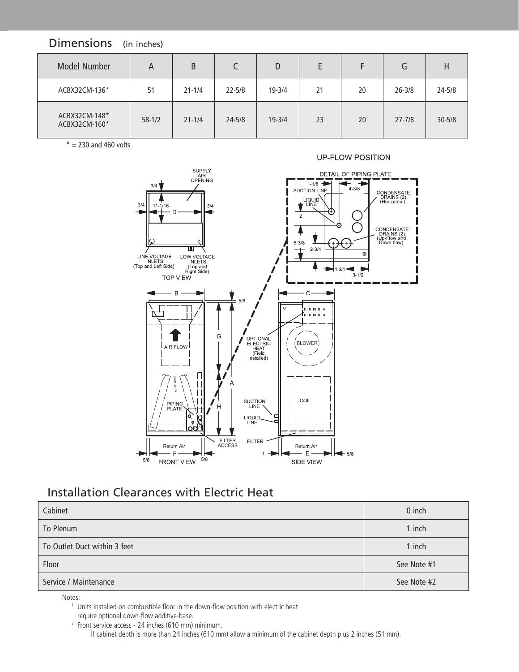#### Dimensions (in inches)

| Model Number                   | A        | B          |            | D          |    |    | G          |            |
|--------------------------------|----------|------------|------------|------------|----|----|------------|------------|
| ACBX32CM-136*                  | 51       | $21 - 1/4$ | $22 - 5/8$ | $19 - 3/4$ | 21 | 20 | $26 - 3/8$ | $24 - 5/8$ |
| ACBX32CM-148*<br>ACBX32CM-160* | $58-1/2$ | $21 - 1/4$ | $24 - 5/8$ | $19 - 3/4$ | 23 | 20 | $27 - 7/8$ | $30 - 5/8$ |

 $* = 230$  and 460 volts



#### Installation Clearances with Electric Heat

| Cabinet                      | 0 inch      |
|------------------------------|-------------|
| To Plenum                    | 1 inch      |
| To Outlet Duct within 3 feet | 1 inch      |
| Floor                        | See Note #1 |
| Service / Maintenance        | See Note #2 |

Notes:

<sup>1</sup> Units installed on combustible floor in the down-flow position with electric heat

require optional down-flow additive-base.

<sup>2</sup> Front service access - 24 inches (610 mm) minimum. If cabinet depth is more than 24 inches (610 mm) allow a minimum of the cabinet depth plus 2 inches (51 mm).